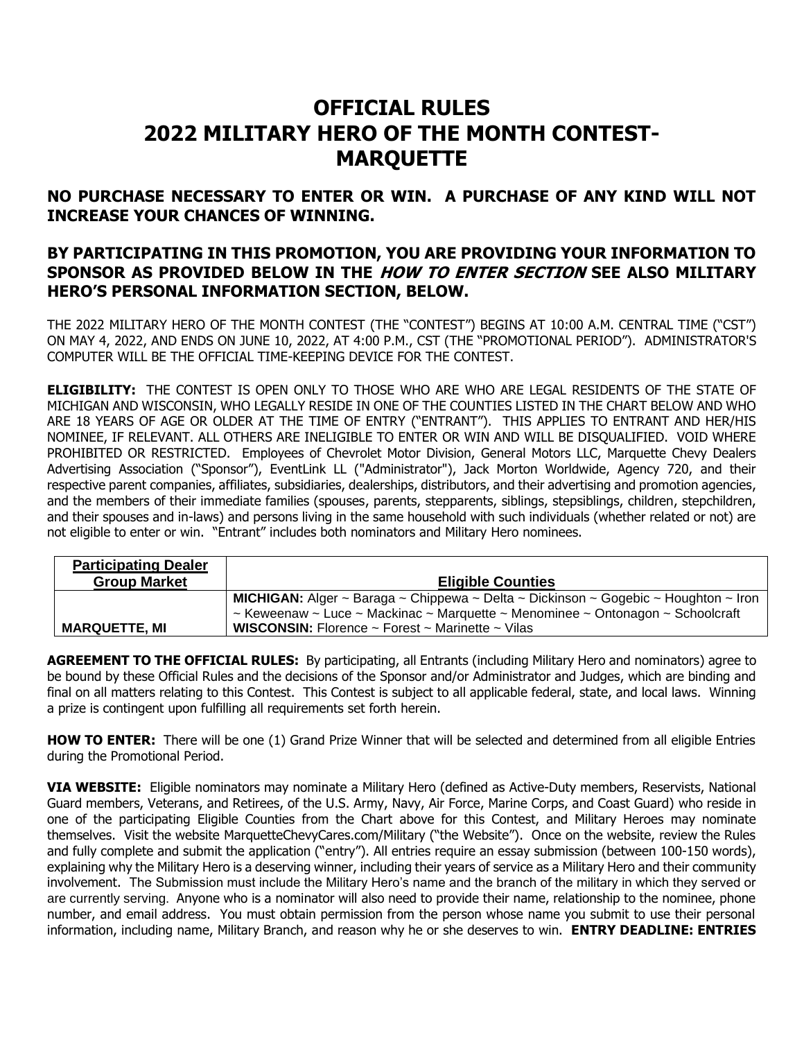## **OFFICIAL RULES 2022 MILITARY HERO OF THE MONTH CONTEST-MARQUETTE**

**NO PURCHASE NECESSARY TO ENTER OR WIN. A PURCHASE OF ANY KIND WILL NOT INCREASE YOUR CHANCES OF WINNING.**

## **BY PARTICIPATING IN THIS PROMOTION, YOU ARE PROVIDING YOUR INFORMATION TO SPONSOR AS PROVIDED BELOW IN THE HOW TO ENTER SECTION SEE ALSO MILITARY HERO'S PERSONAL INFORMATION SECTION, BELOW.**

THE 2022 MILITARY HERO OF THE MONTH CONTEST (THE "CONTEST") BEGINS AT 10:00 A.M. CENTRAL TIME ("CST") ON MAY 4, 2022, AND ENDS ON JUNE 10, 2022, AT 4:00 P.M., CST (THE "PROMOTIONAL PERIOD"). ADMINISTRATOR'S COMPUTER WILL BE THE OFFICIAL TIME-KEEPING DEVICE FOR THE CONTEST.

**ELIGIBILITY:** THE CONTEST IS OPEN ONLY TO THOSE WHO ARE WHO ARE LEGAL RESIDENTS OF THE STATE OF MICHIGAN AND WISCONSIN, WHO LEGALLY RESIDE IN ONE OF THE COUNTIES LISTED IN THE CHART BELOW AND WHO ARE 18 YEARS OF AGE OR OLDER AT THE TIME OF ENTRY ("ENTRANT"). THIS APPLIES TO ENTRANT AND HER/HIS NOMINEE, IF RELEVANT. ALL OTHERS ARE INELIGIBLE TO ENTER OR WIN AND WILL BE DISQUALIFIED. VOID WHERE PROHIBITED OR RESTRICTED. Employees of Chevrolet Motor Division, General Motors LLC, Marquette Chevy Dealers Advertising Association ("Sponsor"), EventLink LL ("Administrator"), Jack Morton Worldwide, Agency 720, and their respective parent companies, affiliates, subsidiaries, dealerships, distributors, and their advertising and promotion agencies, and the members of their immediate families (spouses, parents, stepparents, siblings, stepsiblings, children, stepchildren, and their spouses and in-laws) and persons living in the same household with such individuals (whether related or not) are not eligible to enter or win. "Entrant" includes both nominators and Military Hero nominees.

| <b>Participating Dealer</b> |                                                                                            |
|-----------------------------|--------------------------------------------------------------------------------------------|
| <b>Group Market</b>         | <b>Eligible Counties</b>                                                                   |
|                             | <b>MICHIGAN:</b> Alger ~ Baraga ~ Chippewa ~ Delta ~ Dickinson ~ Gogebic ~ Houghton ~ Iron |
|                             | ~ Keweenaw ~ Luce ~ Mackinac ~ Marquette ~ Menominee ~ Ontonagon ~ Schoolcraft             |
| <b>MARQUETTE, MI</b>        | <b>WISCONSIN:</b> Florence $\sim$ Forest $\sim$ Marinette $\sim$ Vilas                     |

**AGREEMENT TO THE OFFICIAL RULES:** By participating, all Entrants (including Military Hero and nominators) agree to be bound by these Official Rules and the decisions of the Sponsor and/or Administrator and Judges, which are binding and final on all matters relating to this Contest. This Contest is subject to all applicable federal, state, and local laws. Winning a prize is contingent upon fulfilling all requirements set forth herein.

**HOW TO ENTER:** There will be one (1) Grand Prize Winner that will be selected and determined from all eligible Entries during the Promotional Period.

**VIA WEBSITE:** Eligible nominators may nominate a Military Hero (defined as Active-Duty members, Reservists, National Guard members, Veterans, and Retirees, of the U.S. Army, Navy, Air Force, Marine Corps, and Coast Guard) who reside in one of the participating Eligible Counties from the Chart above for this Contest, and Military Heroes may nominate themselves. Visit the website MarquetteChevyCares.com/Military ("the Website"). Once on the website, review the Rules and fully complete and submit the application ("entry"). All entries require an essay submission (between 100-150 words), explaining why the Military Hero is a deserving winner, including their years of service as a Military Hero and their community involvement. The Submission must include the Military Hero's name and the branch of the military in which they served or are currently serving. Anyone who is a nominator will also need to provide their name, relationship to the nominee, phone number, and email address. You must obtain permission from the person whose name you submit to use their personal information, including name, Military Branch, and reason why he or she deserves to win. **ENTRY DEADLINE: ENTRIES**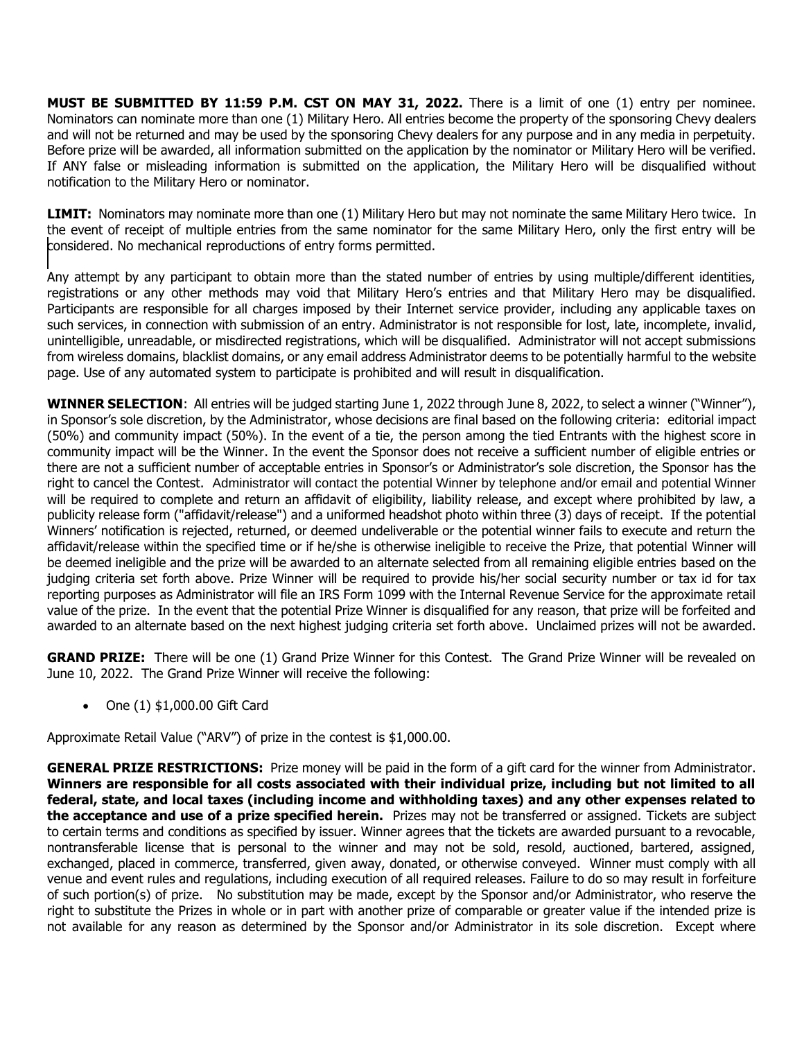**MUST BE SUBMITTED BY 11:59 P.M. CST ON MAY 31, 2022.** There is a limit of one (1) entry per nominee. Nominators can nominate more than one (1) Military Hero. All entries become the property of the sponsoring Chevy dealers and will not be returned and may be used by the sponsoring Chevy dealers for any purpose and in any media in perpetuity. Before prize will be awarded, all information submitted on the application by the nominator or Military Hero will be verified. If ANY false or misleading information is submitted on the application, the Military Hero will be disqualified without notification to the Military Hero or nominator.

**LIMIT:** Nominators may nominate more than one (1) Military Hero but may not nominate the same Military Hero twice. In the event of receipt of multiple entries from the same nominator for the same Military Hero, only the first entry will be considered. No mechanical reproductions of entry forms permitted.

Any attempt by any participant to obtain more than the stated number of entries by using multiple/different identities, registrations or any other methods may void that Military Hero's entries and that Military Hero may be disqualified. Participants are responsible for all charges imposed by their Internet service provider, including any applicable taxes on such services, in connection with submission of an entry. Administrator is not responsible for lost, late, incomplete, invalid, unintelligible, unreadable, or misdirected registrations, which will be disqualified. Administrator will not accept submissions from wireless domains, blacklist domains, or any email address Administrator deems to be potentially harmful to the website page. Use of any automated system to participate is prohibited and will result in disqualification.

**WINNER SELECTION**: All entries will be judged starting June 1, 2022 through June 8, 2022, to select a winner ("Winner"), in Sponsor's sole discretion, by the Administrator, whose decisions are final based on the following criteria: editorial impact (50%) and community impact (50%). In the event of a tie, the person among the tied Entrants with the highest score in community impact will be the Winner. In the event the Sponsor does not receive a sufficient number of eligible entries or there are not a sufficient number of acceptable entries in Sponsor's or Administrator's sole discretion, the Sponsor has the right to cancel the Contest. Administrator will contact the potential Winner by telephone and/or email and potential Winner will be required to complete and return an affidavit of eligibility, liability release, and except where prohibited by law, a publicity release form ("affidavit/release") and a uniformed headshot photo within three (3) days of receipt. If the potential Winners' notification is rejected, returned, or deemed undeliverable or the potential winner fails to execute and return the affidavit/release within the specified time or if he/she is otherwise ineligible to receive the Prize, that potential Winner will be deemed ineligible and the prize will be awarded to an alternate selected from all remaining eligible entries based on the judging criteria set forth above. Prize Winner will be required to provide his/her social security number or tax id for tax reporting purposes as Administrator will file an IRS Form 1099 with the Internal Revenue Service for the approximate retail value of the prize. In the event that the potential Prize Winner is disqualified for any reason, that prize will be forfeited and awarded to an alternate based on the next highest judging criteria set forth above. Unclaimed prizes will not be awarded.

**GRAND PRIZE:** There will be one (1) Grand Prize Winner for this Contest. The Grand Prize Winner will be revealed on June 10, 2022. The Grand Prize Winner will receive the following:

• One (1) \$1,000.00 Gift Card

Approximate Retail Value ("ARV") of prize in the contest is \$1,000.00.

**GENERAL PRIZE RESTRICTIONS:** Prize money will be paid in the form of a gift card for the winner from Administrator. **Winners are responsible for all costs associated with their individual prize, including but not limited to all federal, state, and local taxes (including income and withholding taxes) and any other expenses related to the acceptance and use of a prize specified herein.** Prizes may not be transferred or assigned. Tickets are subject to certain terms and conditions as specified by issuer. Winner agrees that the tickets are awarded pursuant to a revocable, nontransferable license that is personal to the winner and may not be sold, resold, auctioned, bartered, assigned, exchanged, placed in commerce, transferred, given away, donated, or otherwise conveyed. Winner must comply with all venue and event rules and regulations, including execution of all required releases. Failure to do so may result in forfeiture of such portion(s) of prize. No substitution may be made, except by the Sponsor and/or Administrator, who reserve the right to substitute the Prizes in whole or in part with another prize of comparable or greater value if the intended prize is not available for any reason as determined by the Sponsor and/or Administrator in its sole discretion. Except where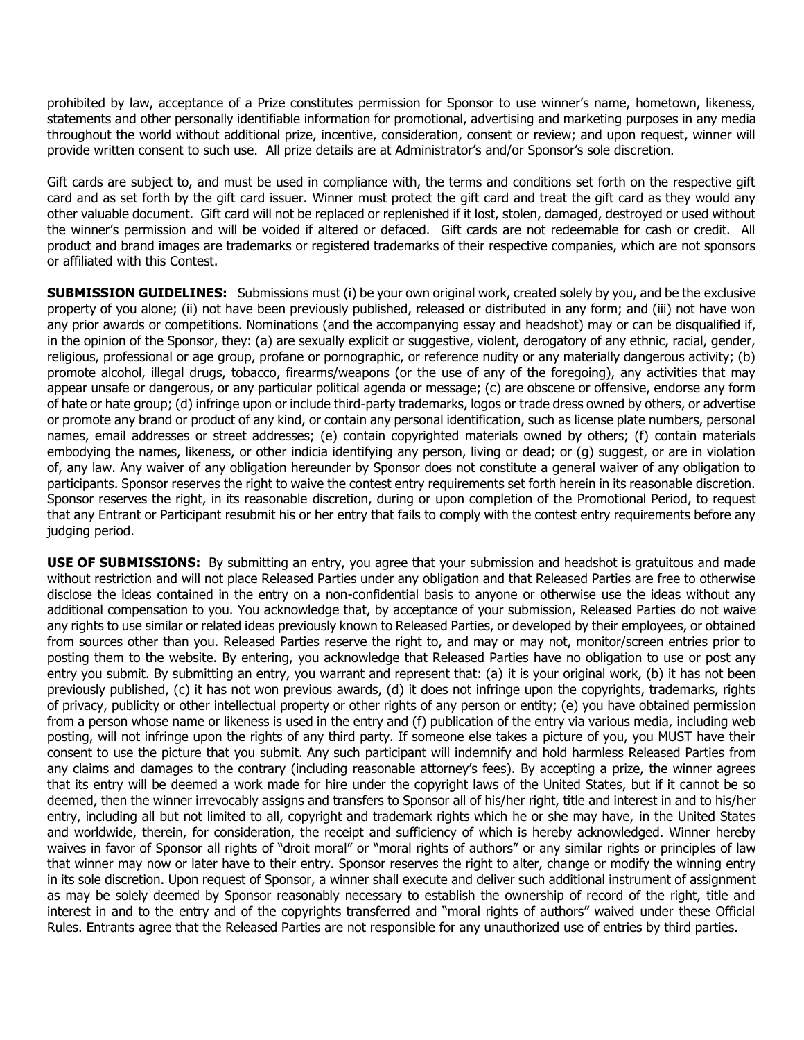prohibited by law, acceptance of a Prize constitutes permission for Sponsor to use winner's name, hometown, likeness, statements and other personally identifiable information for promotional, advertising and marketing purposes in any media throughout the world without additional prize, incentive, consideration, consent or review; and upon request, winner will provide written consent to such use. All prize details are at Administrator's and/or Sponsor's sole discretion.

Gift cards are subject to, and must be used in compliance with, the terms and conditions set forth on the respective gift card and as set forth by the gift card issuer. Winner must protect the gift card and treat the gift card as they would any other valuable document. Gift card will not be replaced or replenished if it lost, stolen, damaged, destroyed or used without the winner's permission and will be voided if altered or defaced. Gift cards are not redeemable for cash or credit. All product and brand images are trademarks or registered trademarks of their respective companies, which are not sponsors or affiliated with this Contest.

**SUBMISSION GUIDELINES:** Submissions must (i) be your own original work, created solely by you, and be the exclusive property of you alone; (ii) not have been previously published, released or distributed in any form; and (iii) not have won any prior awards or competitions. Nominations (and the accompanying essay and headshot) may or can be disqualified if, in the opinion of the Sponsor, they: (a) are sexually explicit or suggestive, violent, derogatory of any ethnic, racial, gender, religious, professional or age group, profane or pornographic, or reference nudity or any materially dangerous activity; (b) promote alcohol, illegal drugs, tobacco, firearms/weapons (or the use of any of the foregoing), any activities that may appear unsafe or dangerous, or any particular political agenda or message; (c) are obscene or offensive, endorse any form of hate or hate group; (d) infringe upon or include third-party trademarks, logos or trade dress owned by others, or advertise or promote any brand or product of any kind, or contain any personal identification, such as license plate numbers, personal names, email addresses or street addresses; (e) contain copyrighted materials owned by others; (f) contain materials embodying the names, likeness, or other indicia identifying any person, living or dead; or (g) suggest, or are in violation of, any law. Any waiver of any obligation hereunder by Sponsor does not constitute a general waiver of any obligation to participants. Sponsor reserves the right to waive the contest entry requirements set forth herein in its reasonable discretion. Sponsor reserves the right, in its reasonable discretion, during or upon completion of the Promotional Period, to request that any Entrant or Participant resubmit his or her entry that fails to comply with the contest entry requirements before any judging period.

**USE OF SUBMISSIONS:** By submitting an entry, you agree that your submission and headshot is gratuitous and made without restriction and will not place Released Parties under any obligation and that Released Parties are free to otherwise disclose the ideas contained in the entry on a non-confidential basis to anyone or otherwise use the ideas without any additional compensation to you. You acknowledge that, by acceptance of your submission, Released Parties do not waive any rights to use similar or related ideas previously known to Released Parties, or developed by their employees, or obtained from sources other than you. Released Parties reserve the right to, and may or may not, monitor/screen entries prior to posting them to the website. By entering, you acknowledge that Released Parties have no obligation to use or post any entry you submit. By submitting an entry, you warrant and represent that: (a) it is your original work, (b) it has not been previously published, (c) it has not won previous awards, (d) it does not infringe upon the copyrights, trademarks, rights of privacy, publicity or other intellectual property or other rights of any person or entity; (e) you have obtained permission from a person whose name or likeness is used in the entry and (f) publication of the entry via various media, including web posting, will not infringe upon the rights of any third party. If someone else takes a picture of you, you MUST have their consent to use the picture that you submit. Any such participant will indemnify and hold harmless Released Parties from any claims and damages to the contrary (including reasonable attorney's fees). By accepting a prize, the winner agrees that its entry will be deemed a work made for hire under the copyright laws of the United States, but if it cannot be so deemed, then the winner irrevocably assigns and transfers to Sponsor all of his/her right, title and interest in and to his/her entry, including all but not limited to all, copyright and trademark rights which he or she may have, in the United States and worldwide, therein, for consideration, the receipt and sufficiency of which is hereby acknowledged. Winner hereby waives in favor of Sponsor all rights of "droit moral" or "moral rights of authors" or any similar rights or principles of law that winner may now or later have to their entry. Sponsor reserves the right to alter, change or modify the winning entry in its sole discretion. Upon request of Sponsor, a winner shall execute and deliver such additional instrument of assignment as may be solely deemed by Sponsor reasonably necessary to establish the ownership of record of the right, title and interest in and to the entry and of the copyrights transferred and "moral rights of authors" waived under these Official Rules. Entrants agree that the Released Parties are not responsible for any unauthorized use of entries by third parties.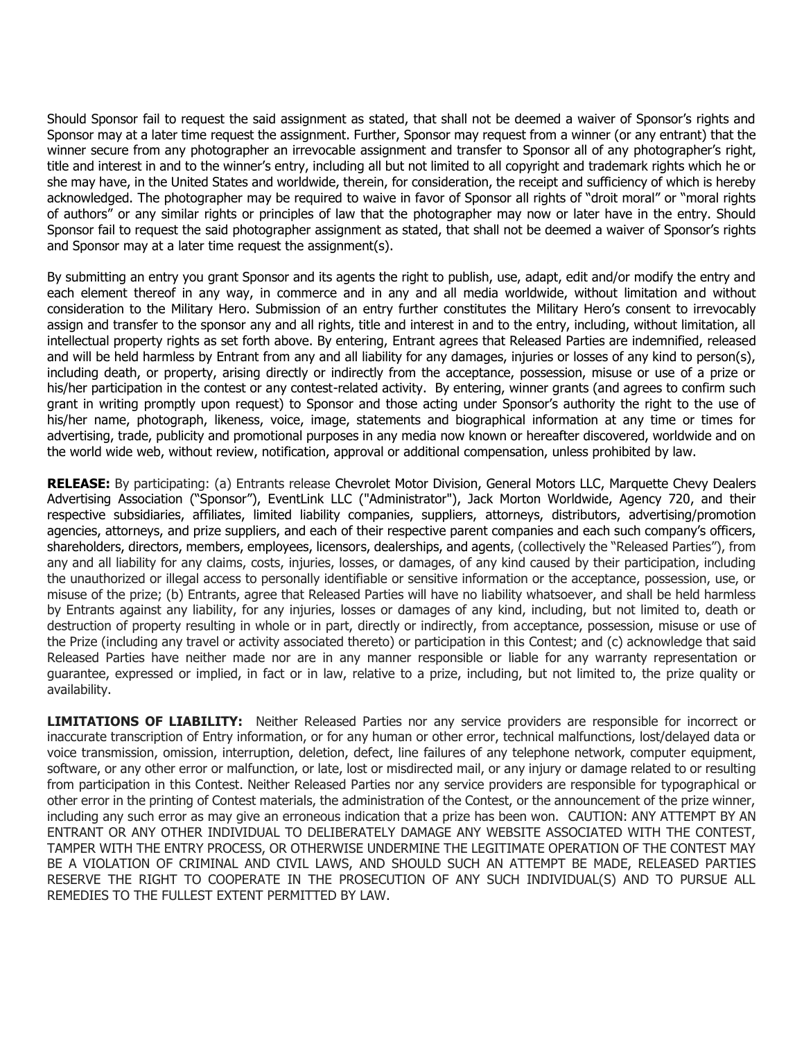Should Sponsor fail to request the said assignment as stated, that shall not be deemed a waiver of Sponsor's rights and Sponsor may at a later time request the assignment. Further, Sponsor may request from a winner (or any entrant) that the winner secure from any photographer an irrevocable assignment and transfer to Sponsor all of any photographer's right, title and interest in and to the winner's entry, including all but not limited to all copyright and trademark rights which he or she may have, in the United States and worldwide, therein, for consideration, the receipt and sufficiency of which is hereby acknowledged. The photographer may be required to waive in favor of Sponsor all rights of "droit moral" or "moral rights of authors" or any similar rights or principles of law that the photographer may now or later have in the entry. Should Sponsor fail to request the said photographer assignment as stated, that shall not be deemed a waiver of Sponsor's rights and Sponsor may at a later time request the assignment(s).

By submitting an entry you grant Sponsor and its agents the right to publish, use, adapt, edit and/or modify the entry and each element thereof in any way, in commerce and in any and all media worldwide, without limitation and without consideration to the Military Hero. Submission of an entry further constitutes the Military Hero's consent to irrevocably assign and transfer to the sponsor any and all rights, title and interest in and to the entry, including, without limitation, all intellectual property rights as set forth above. By entering, Entrant agrees that Released Parties are indemnified, released and will be held harmless by Entrant from any and all liability for any damages, injuries or losses of any kind to person(s), including death, or property, arising directly or indirectly from the acceptance, possession, misuse or use of a prize or his/her participation in the contest or any contest-related activity. By entering, winner grants (and agrees to confirm such grant in writing promptly upon request) to Sponsor and those acting under Sponsor's authority the right to the use of his/her name, photograph, likeness, voice, image, statements and biographical information at any time or times for advertising, trade, publicity and promotional purposes in any media now known or hereafter discovered, worldwide and on the world wide web, without review, notification, approval or additional compensation, unless prohibited by law.

**RELEASE:** By participating: (a) Entrants release Chevrolet Motor Division, General Motors LLC, Marquette Chevy Dealers Advertising Association ("Sponsor"), EventLink LLC ("Administrator"), Jack Morton Worldwide, Agency 720, and their respective subsidiaries, affiliates, limited liability companies, suppliers, attorneys, distributors, advertising/promotion agencies, attorneys, and prize suppliers, and each of their respective parent companies and each such company's officers, shareholders, directors, members, employees, licensors, dealerships, and agents, (collectively the "Released Parties"), from any and all liability for any claims, costs, injuries, losses, or damages, of any kind caused by their participation, including the unauthorized or illegal access to personally identifiable or sensitive information or the acceptance, possession, use, or misuse of the prize; (b) Entrants, agree that Released Parties will have no liability whatsoever, and shall be held harmless by Entrants against any liability, for any injuries, losses or damages of any kind, including, but not limited to, death or destruction of property resulting in whole or in part, directly or indirectly, from acceptance, possession, misuse or use of the Prize (including any travel or activity associated thereto) or participation in this Contest; and (c) acknowledge that said Released Parties have neither made nor are in any manner responsible or liable for any warranty representation or guarantee, expressed or implied, in fact or in law, relative to a prize, including, but not limited to, the prize quality or availability.

**LIMITATIONS OF LIABILITY:** Neither Released Parties nor any service providers are responsible for incorrect or inaccurate transcription of Entry information, or for any human or other error, technical malfunctions, lost/delayed data or voice transmission, omission, interruption, deletion, defect, line failures of any telephone network, computer equipment, software, or any other error or malfunction, or late, lost or misdirected mail, or any injury or damage related to or resulting from participation in this Contest. Neither Released Parties nor any service providers are responsible for typographical or other error in the printing of Contest materials, the administration of the Contest, or the announcement of the prize winner, including any such error as may give an erroneous indication that a prize has been won. CAUTION: ANY ATTEMPT BY AN ENTRANT OR ANY OTHER INDIVIDUAL TO DELIBERATELY DAMAGE ANY WEBSITE ASSOCIATED WITH THE CONTEST, TAMPER WITH THE ENTRY PROCESS, OR OTHERWISE UNDERMINE THE LEGITIMATE OPERATION OF THE CONTEST MAY BE A VIOLATION OF CRIMINAL AND CIVIL LAWS, AND SHOULD SUCH AN ATTEMPT BE MADE, RELEASED PARTIES RESERVE THE RIGHT TO COOPERATE IN THE PROSECUTION OF ANY SUCH INDIVIDUAL(S) AND TO PURSUE ALL REMEDIES TO THE FULLEST EXTENT PERMITTED BY LAW.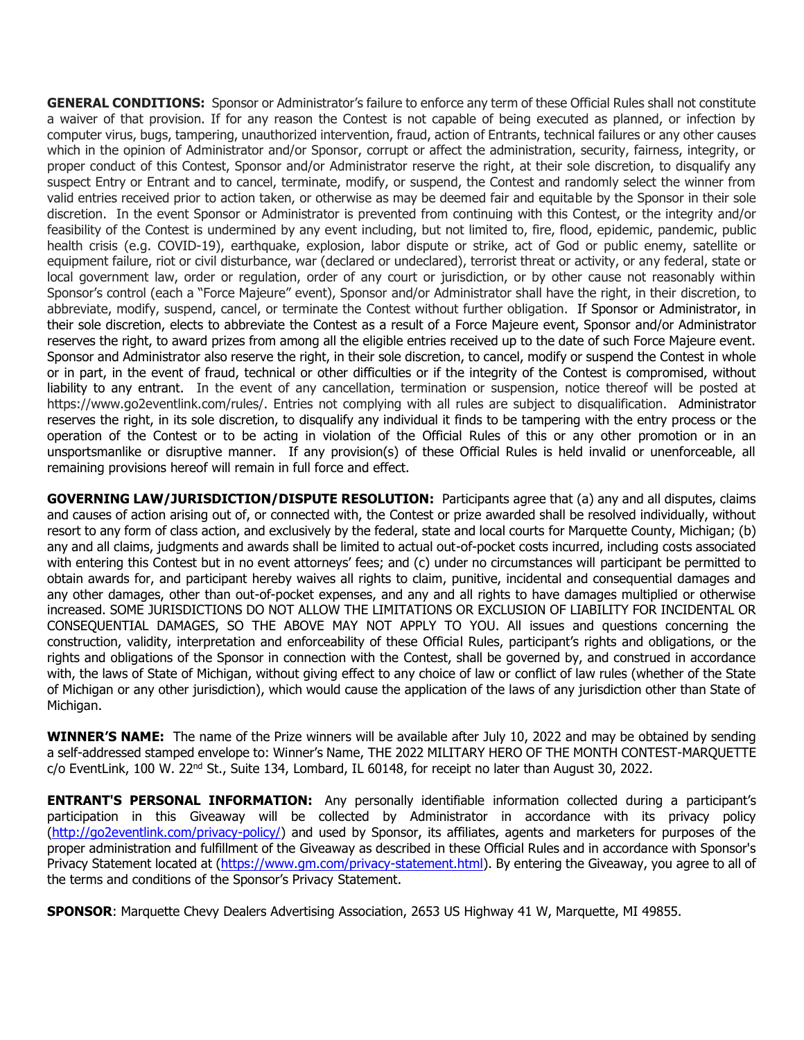**GENERAL CONDITIONS:** Sponsor or Administrator's failure to enforce any term of these Official Rules shall not constitute a waiver of that provision. If for any reason the Contest is not capable of being executed as planned, or infection by computer virus, bugs, tampering, unauthorized intervention, fraud, action of Entrants, technical failures or any other causes which in the opinion of Administrator and/or Sponsor, corrupt or affect the administration, security, fairness, integrity, or proper conduct of this Contest, Sponsor and/or Administrator reserve the right, at their sole discretion, to disqualify any suspect Entry or Entrant and to cancel, terminate, modify, or suspend, the Contest and randomly select the winner from valid entries received prior to action taken, or otherwise as may be deemed fair and equitable by the Sponsor in their sole discretion. In the event Sponsor or Administrator is prevented from continuing with this Contest, or the integrity and/or feasibility of the Contest is undermined by any event including, but not limited to, fire, flood, epidemic, pandemic, public health crisis (e.g. COVID-19), earthquake, explosion, labor dispute or strike, act of God or public enemy, satellite or equipment failure, riot or civil disturbance, war (declared or undeclared), terrorist threat or activity, or any federal, state or local government law, order or regulation, order of any court or jurisdiction, or by other cause not reasonably within Sponsor's control (each a "Force Majeure" event), Sponsor and/or Administrator shall have the right, in their discretion, to abbreviate, modify, suspend, cancel, or terminate the Contest without further obligation. If Sponsor or Administrator, in their sole discretion, elects to abbreviate the Contest as a result of a Force Majeure event, Sponsor and/or Administrator reserves the right, to award prizes from among all the eligible entries received up to the date of such Force Majeure event. Sponsor and Administrator also reserve the right, in their sole discretion, to cancel, modify or suspend the Contest in whole or in part, in the event of fraud, technical or other difficulties or if the integrity of the Contest is compromised, without liability to any entrant. In the event of any cancellation, termination or suspension, notice thereof will be posted at https://www.go2eventlink.com/rules/. Entries not complying with all rules are subject to disqualification. Administrator reserves the right, in its sole discretion, to disqualify any individual it finds to be tampering with the entry process or the operation of the Contest or to be acting in violation of the Official Rules of this or any other promotion or in an unsportsmanlike or disruptive manner. If any provision(s) of these Official Rules is held invalid or unenforceable, all remaining provisions hereof will remain in full force and effect.

**GOVERNING LAW/JURISDICTION/DISPUTE RESOLUTION:** Participants agree that (a) any and all disputes, claims and causes of action arising out of, or connected with, the Contest or prize awarded shall be resolved individually, without resort to any form of class action, and exclusively by the federal, state and local courts for Marquette County, Michigan; (b) any and all claims, judgments and awards shall be limited to actual out-of-pocket costs incurred, including costs associated with entering this Contest but in no event attorneys' fees; and (c) under no circumstances will participant be permitted to obtain awards for, and participant hereby waives all rights to claim, punitive, incidental and consequential damages and any other damages, other than out-of-pocket expenses, and any and all rights to have damages multiplied or otherwise increased. SOME JURISDICTIONS DO NOT ALLOW THE LIMITATIONS OR EXCLUSION OF LIABILITY FOR INCIDENTAL OR CONSEQUENTIAL DAMAGES, SO THE ABOVE MAY NOT APPLY TO YOU. All issues and questions concerning the construction, validity, interpretation and enforceability of these Official Rules, participant's rights and obligations, or the rights and obligations of the Sponsor in connection with the Contest, shall be governed by, and construed in accordance with, the laws of State of Michigan, without giving effect to any choice of law or conflict of law rules (whether of the State of Michigan or any other jurisdiction), which would cause the application of the laws of any jurisdiction other than State of Michigan.

**WINNER'S NAME:** The name of the Prize winners will be available after July 10, 2022 and may be obtained by sending a self-addressed stamped envelope to: Winner's Name, THE 2022 MILITARY HERO OF THE MONTH CONTEST-MARQUETTE c/o EventLink, 100 W. 22nd St., Suite 134, Lombard, IL 60148, for receipt no later than August 30, 2022.

**ENTRANT'S PERSONAL INFORMATION:** Any personally identifiable information collected during a participant's participation in this Giveaway will be collected by Administrator in accordance with its privacy policy [\(http://go2eventlink.com/privacy-policy/\)](http://go2eventlink.com/privacy-policy/) and used by Sponsor, its affiliates, agents and marketers for purposes of the proper administration and fulfillment of the Giveaway as described in these Official Rules and in accordance with Sponsor's Privacy Statement located at (https://www.gm.com/privacy-statement.html). By entering the Giveaway, you agree to all of the terms and conditions of the Sponsor's Privacy Statement.

**SPONSOR**: Marquette Chevy Dealers Advertising Association, 2653 US Highway 41 W, Marquette, MI 49855.